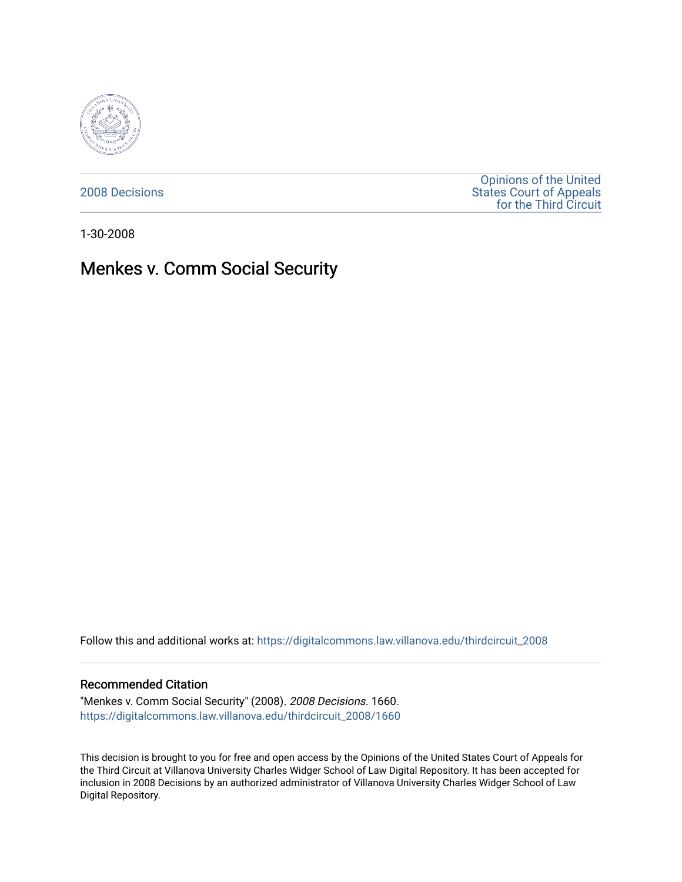

[2008 Decisions](https://digitalcommons.law.villanova.edu/thirdcircuit_2008)

[Opinions of the United](https://digitalcommons.law.villanova.edu/thirdcircuit)  [States Court of Appeals](https://digitalcommons.law.villanova.edu/thirdcircuit)  [for the Third Circuit](https://digitalcommons.law.villanova.edu/thirdcircuit) 

1-30-2008

# Menkes v. Comm Social Security

Follow this and additional works at: [https://digitalcommons.law.villanova.edu/thirdcircuit\\_2008](https://digitalcommons.law.villanova.edu/thirdcircuit_2008?utm_source=digitalcommons.law.villanova.edu%2Fthirdcircuit_2008%2F1660&utm_medium=PDF&utm_campaign=PDFCoverPages) 

#### Recommended Citation

"Menkes v. Comm Social Security" (2008). 2008 Decisions. 1660. [https://digitalcommons.law.villanova.edu/thirdcircuit\\_2008/1660](https://digitalcommons.law.villanova.edu/thirdcircuit_2008/1660?utm_source=digitalcommons.law.villanova.edu%2Fthirdcircuit_2008%2F1660&utm_medium=PDF&utm_campaign=PDFCoverPages) 

This decision is brought to you for free and open access by the Opinions of the United States Court of Appeals for the Third Circuit at Villanova University Charles Widger School of Law Digital Repository. It has been accepted for inclusion in 2008 Decisions by an authorized administrator of Villanova University Charles Widger School of Law Digital Repository.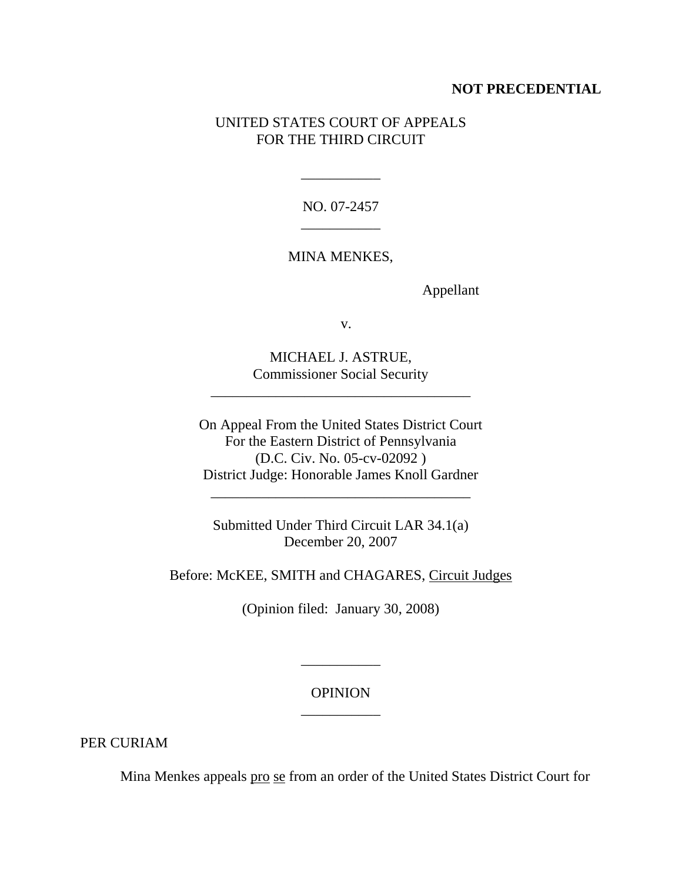## **NOT PRECEDENTIAL**

## UNITED STATES COURT OF APPEALS FOR THE THIRD CIRCUIT

NO. 07-2457 \_\_\_\_\_\_\_\_\_\_\_

\_\_\_\_\_\_\_\_\_\_\_

MINA MENKES,

Appellant

v.

MICHAEL J. ASTRUE, Commissioner Social Security

\_\_\_\_\_\_\_\_\_\_\_\_\_\_\_\_\_\_\_\_\_\_\_\_\_\_\_\_\_\_\_\_\_\_\_\_

On Appeal From the United States District Court For the Eastern District of Pennsylvania (D.C. Civ. No. 05-cv-02092 ) District Judge: Honorable James Knoll Gardner

\_\_\_\_\_\_\_\_\_\_\_\_\_\_\_\_\_\_\_\_\_\_\_\_\_\_\_\_\_\_\_\_\_\_\_\_

Submitted Under Third Circuit LAR 34.1(a) December 20, 2007

Before: McKEE, SMITH and CHAGARES, Circuit Judges

(Opinion filed: January 30, 2008)

**OPINION** \_\_\_\_\_\_\_\_\_\_\_

\_\_\_\_\_\_\_\_\_\_\_

PER CURIAM

Mina Menkes appeals pro se from an order of the United States District Court for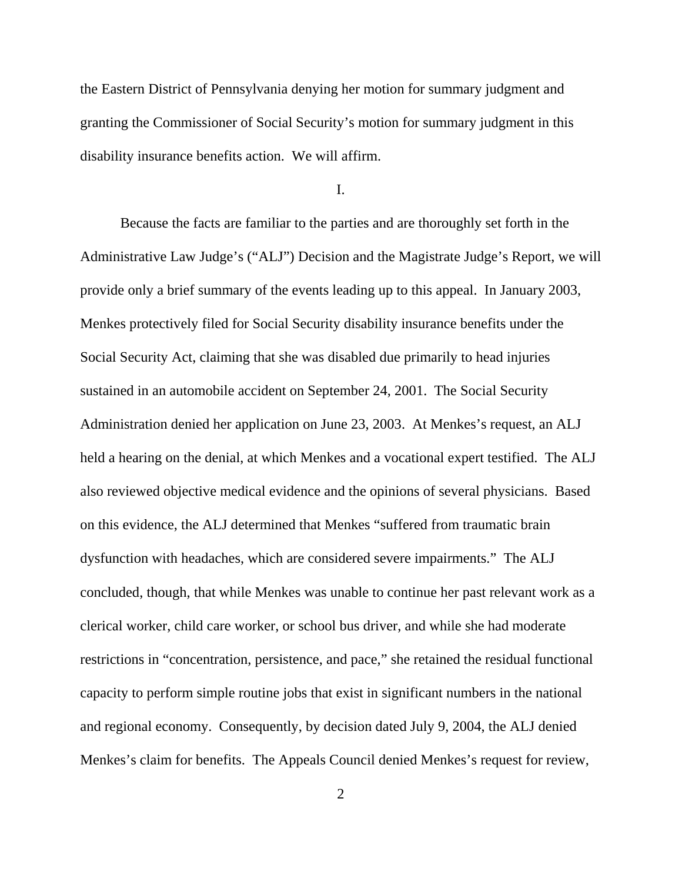the Eastern District of Pennsylvania denying her motion for summary judgment and granting the Commissioner of Social Security's motion for summary judgment in this disability insurance benefits action. We will affirm.

I.

Because the facts are familiar to the parties and are thoroughly set forth in the Administrative Law Judge's ("ALJ") Decision and the Magistrate Judge's Report, we will provide only a brief summary of the events leading up to this appeal. In January 2003, Menkes protectively filed for Social Security disability insurance benefits under the Social Security Act, claiming that she was disabled due primarily to head injuries sustained in an automobile accident on September 24, 2001. The Social Security Administration denied her application on June 23, 2003. At Menkes's request, an ALJ held a hearing on the denial, at which Menkes and a vocational expert testified. The ALJ also reviewed objective medical evidence and the opinions of several physicians. Based on this evidence, the ALJ determined that Menkes "suffered from traumatic brain dysfunction with headaches, which are considered severe impairments." The ALJ concluded, though, that while Menkes was unable to continue her past relevant work as a clerical worker, child care worker, or school bus driver, and while she had moderate restrictions in "concentration, persistence, and pace," she retained the residual functional capacity to perform simple routine jobs that exist in significant numbers in the national and regional economy. Consequently, by decision dated July 9, 2004, the ALJ denied Menkes's claim for benefits. The Appeals Council denied Menkes's request for review,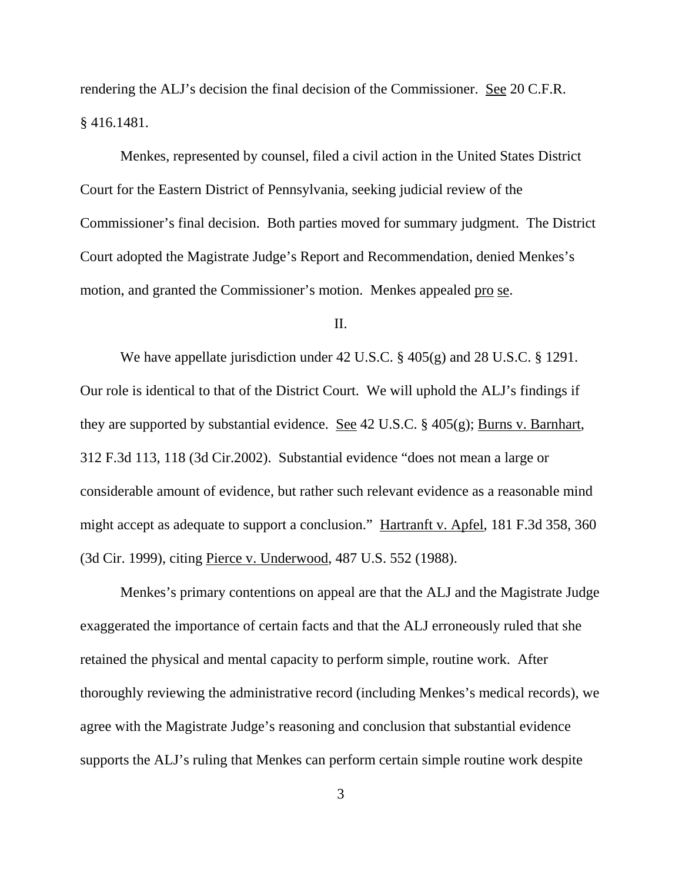rendering the ALJ's decision the final decision of the Commissioner. See 20 C.F.R. § 416.1481.

Menkes, represented by counsel, filed a civil action in the United States District Court for the Eastern District of Pennsylvania, seeking judicial review of the Commissioner's final decision. Both parties moved for summary judgment. The District Court adopted the Magistrate Judge's Report and Recommendation, denied Menkes's motion, and granted the Commissioner's motion. Menkes appealed pro se.

### II.

We have appellate jurisdiction under 42 U.S.C. § 405(g) and 28 U.S.C. § 1291. Our role is identical to that of the District Court. We will uphold the ALJ's findings if they are supported by substantial evidence. See 42 U.S.C. § 405(g); Burns v. Barnhart, 312 F.3d 113, 118 (3d Cir.2002). Substantial evidence "does not mean a large or considerable amount of evidence, but rather such relevant evidence as a reasonable mind might accept as adequate to support a conclusion." Hartranft v. Apfel, 181 F.3d 358, 360 (3d Cir. 1999), citing Pierce v. Underwood, 487 U.S. 552 (1988).

Menkes's primary contentions on appeal are that the ALJ and the Magistrate Judge exaggerated the importance of certain facts and that the ALJ erroneously ruled that she retained the physical and mental capacity to perform simple, routine work. After thoroughly reviewing the administrative record (including Menkes's medical records), we agree with the Magistrate Judge's reasoning and conclusion that substantial evidence supports the ALJ's ruling that Menkes can perform certain simple routine work despite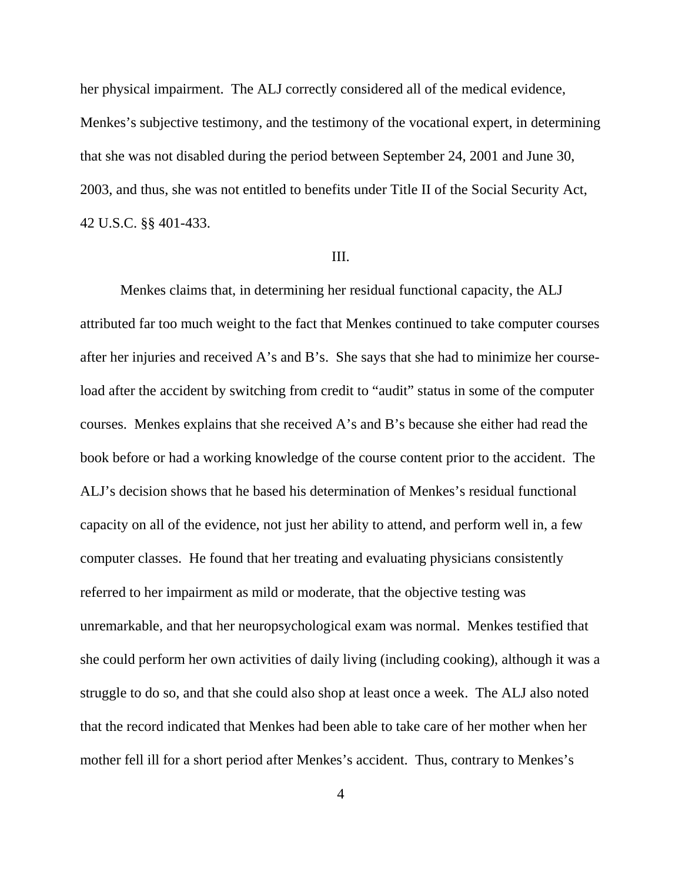her physical impairment. The ALJ correctly considered all of the medical evidence,

Menkes's subjective testimony, and the testimony of the vocational expert, in determining that she was not disabled during the period between September 24, 2001 and June 30, 2003, and thus, she was not entitled to benefits under Title II of the Social Security Act, 42 U.S.C. §§ 401-433.

#### III.

Menkes claims that, in determining her residual functional capacity, the ALJ attributed far too much weight to the fact that Menkes continued to take computer courses after her injuries and received A's and B's. She says that she had to minimize her courseload after the accident by switching from credit to "audit" status in some of the computer courses. Menkes explains that she received A's and B's because she either had read the book before or had a working knowledge of the course content prior to the accident. The ALJ's decision shows that he based his determination of Menkes's residual functional capacity on all of the evidence, not just her ability to attend, and perform well in, a few computer classes. He found that her treating and evaluating physicians consistently referred to her impairment as mild or moderate, that the objective testing was unremarkable, and that her neuropsychological exam was normal. Menkes testified that she could perform her own activities of daily living (including cooking), although it was a struggle to do so, and that she could also shop at least once a week. The ALJ also noted that the record indicated that Menkes had been able to take care of her mother when her mother fell ill for a short period after Menkes's accident. Thus, contrary to Menkes's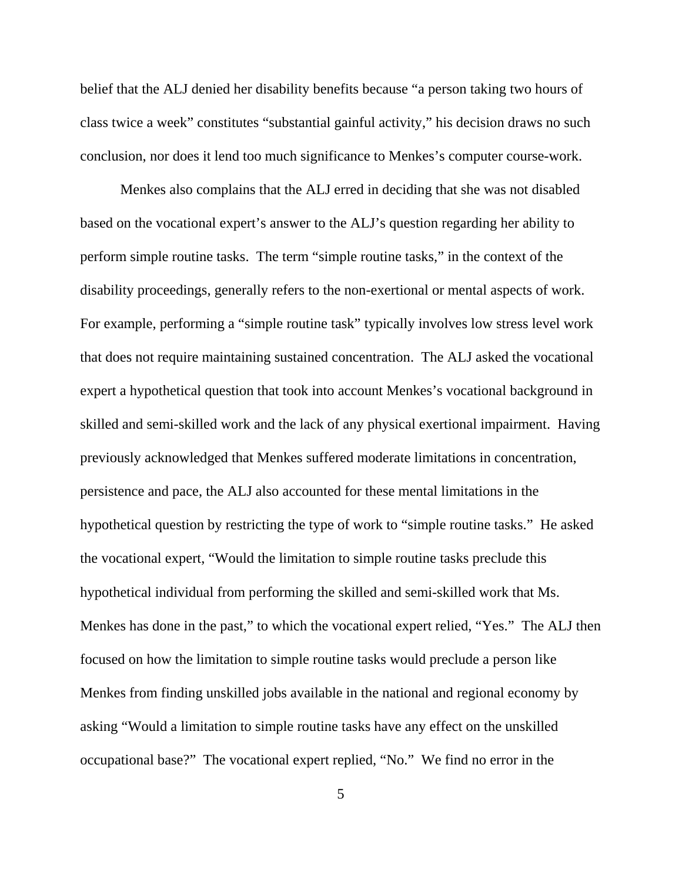belief that the ALJ denied her disability benefits because "a person taking two hours of class twice a week" constitutes "substantial gainful activity," his decision draws no such conclusion, nor does it lend too much significance to Menkes's computer course-work.

Menkes also complains that the ALJ erred in deciding that she was not disabled based on the vocational expert's answer to the ALJ's question regarding her ability to perform simple routine tasks. The term "simple routine tasks," in the context of the disability proceedings, generally refers to the non-exertional or mental aspects of work. For example, performing a "simple routine task" typically involves low stress level work that does not require maintaining sustained concentration. The ALJ asked the vocational expert a hypothetical question that took into account Menkes's vocational background in skilled and semi-skilled work and the lack of any physical exertional impairment. Having previously acknowledged that Menkes suffered moderate limitations in concentration, persistence and pace, the ALJ also accounted for these mental limitations in the hypothetical question by restricting the type of work to "simple routine tasks." He asked the vocational expert, "Would the limitation to simple routine tasks preclude this hypothetical individual from performing the skilled and semi-skilled work that Ms. Menkes has done in the past," to which the vocational expert relied, "Yes." The ALJ then focused on how the limitation to simple routine tasks would preclude a person like Menkes from finding unskilled jobs available in the national and regional economy by asking "Would a limitation to simple routine tasks have any effect on the unskilled occupational base?" The vocational expert replied, "No." We find no error in the